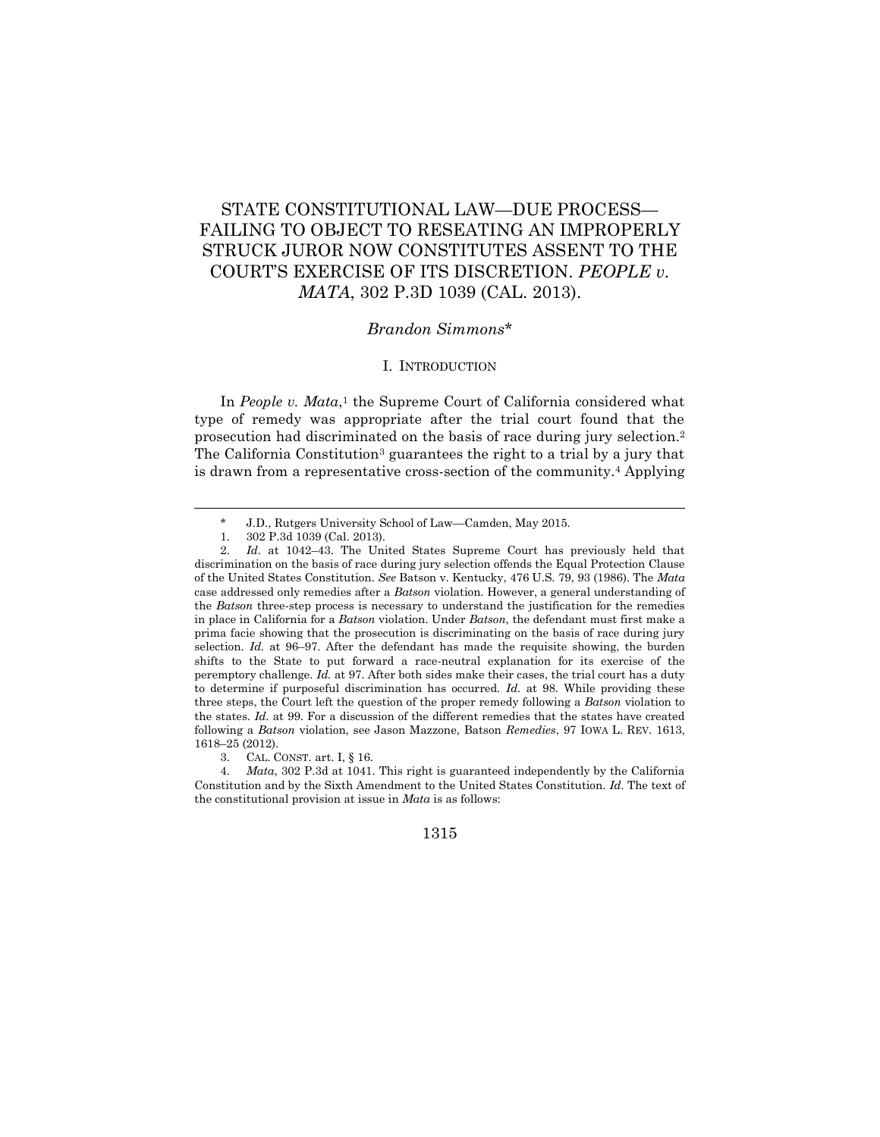# STATE CONSTITUTIONAL LAW—DUE PROCESS— FAILING TO OBJECT TO RESEATING AN IMPROPERLY STRUCK JUROR NOW CONSTITUTES ASSENT TO THE COURT'S EXERCISE OF ITS DISCRETION. *PEOPLE v. MATA*, 302 P.3D 1039 (CAL. 2013).

## *Brandon Simmons*\*

#### I. INTRODUCTION

In *People v. Mata*,<sup>1</sup> the Supreme Court of California considered what type of remedy was appropriate after the trial court found that the prosecution had discriminated on the basis of race during jury selection.<sup>2</sup> The California Constitution<sup>3</sup> guarantees the right to a trial by a jury that is drawn from a representative cross-section of the community.<sup>4</sup> Applying

 $\overline{a}$ 

<sup>\*</sup> J.D., Rutgers University School of Law—Camden, May 2015.

<sup>1.</sup> 302 P.3d 1039 (Cal. 2013).

<sup>2.</sup> *Id.* at 1042–43. The United States Supreme Court has previously held that discrimination on the basis of race during jury selection offends the Equal Protection Clause of the United States Constitution. *See* Batson v. Kentucky, 476 U.S. 79, 93 (1986). The *Mata* case addressed only remedies after a *Batson* violation. However, a general understanding of the *Batson* three-step process is necessary to understand the justification for the remedies in place in California for a *Batson* violation. Under *Batson*, the defendant must first make a prima facie showing that the prosecution is discriminating on the basis of race during jury selection. *Id.* at 96–97. After the defendant has made the requisite showing, the burden shifts to the State to put forward a race-neutral explanation for its exercise of the peremptory challenge. *Id.* at 97. After both sides make their cases, the trial court has a duty to determine if purposeful discrimination has occurred. *Id.* at 98. While providing these three steps, the Court left the question of the proper remedy following a *Batson* violation to the states. *Id.* at 99. For a discussion of the different remedies that the states have created following a *Batson* violation, see Jason Mazzone, Batson *Remedies*, 97 IOWA L. REV. 1613, 1618–25 (2012).

<sup>3.</sup> CAL. CONST. art. I, § 16.

<sup>4.</sup> *Mata*, 302 P.3d at 1041. This right is guaranteed independently by the California Constitution and by the Sixth Amendment to the United States Constitution. *Id.* The text of the constitutional provision at issue in *Mata* is as follows:

<sup>1315</sup>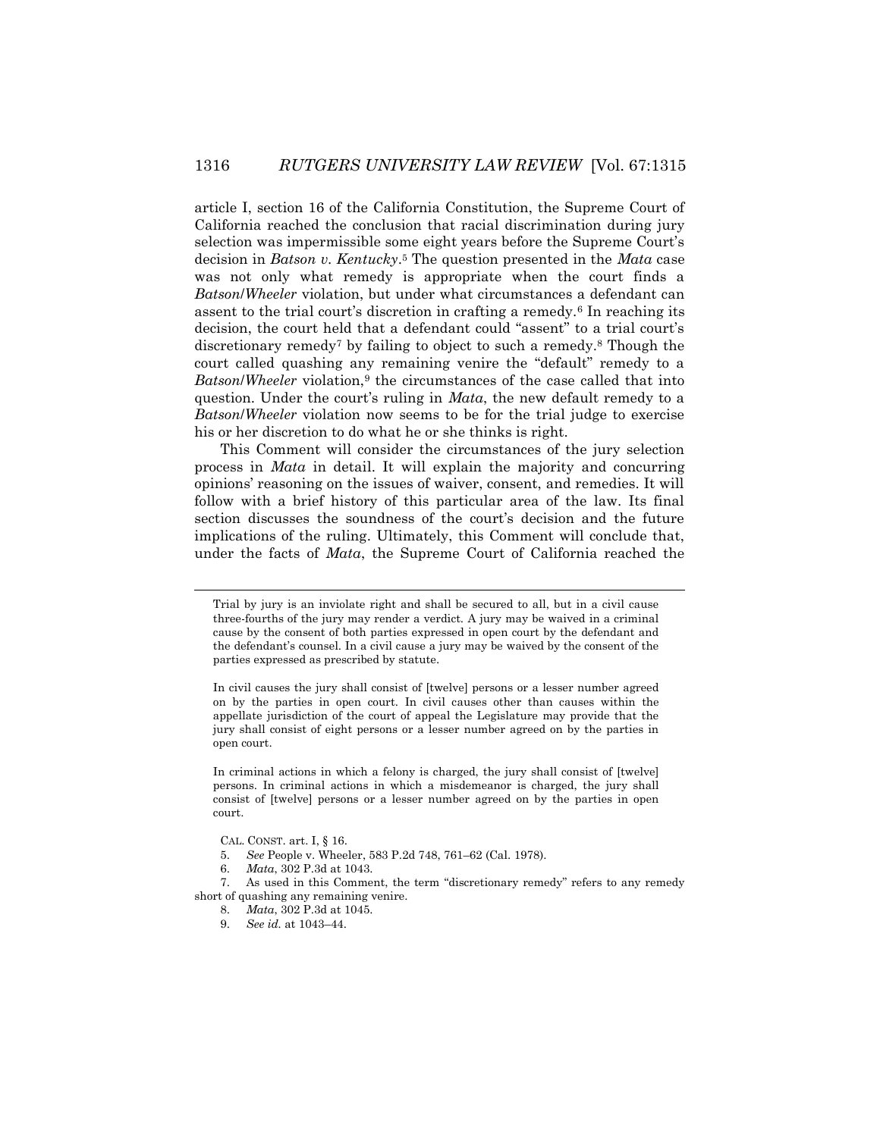article I, section 16 of the California Constitution, the Supreme Court of California reached the conclusion that racial discrimination during jury selection was impermissible some eight years before the Supreme Court's decision in *Batson v. Kentucky*. <sup>5</sup> The question presented in the *Mata* case was not only what remedy is appropriate when the court finds a *Batson*/*Wheeler* violation, but under what circumstances a defendant can assent to the trial court's discretion in crafting a remedy.<sup>6</sup> In reaching its decision, the court held that a defendant could "assent" to a trial court's discretionary remedy<sup>7</sup> by failing to object to such a remedy.<sup>8</sup> Though the court called quashing any remaining venire the "default" remedy to a *Batson/Wheeler* violation,<sup>9</sup> the circumstances of the case called that into question. Under the court's ruling in *Mata*, the new default remedy to a *Batson*/*Wheeler* violation now seems to be for the trial judge to exercise his or her discretion to do what he or she thinks is right.

This Comment will consider the circumstances of the jury selection process in *Mata* in detail. It will explain the majority and concurring opinions' reasoning on the issues of waiver, consent, and remedies. It will follow with a brief history of this particular area of the law. Its final section discusses the soundness of the court's decision and the future implications of the ruling. Ultimately, this Comment will conclude that, under the facts of *Mata*, the Supreme Court of California reached the

In criminal actions in which a felony is charged, the jury shall consist of [twelve] persons. In criminal actions in which a misdemeanor is charged, the jury shall consist of [twelve] persons or a lesser number agreed on by the parties in open court.

CAL. CONST. art. I, § 16.

 $\overline{a}$ 

- 5. *See* People v. Wheeler, 583 P.2d 748, 761–62 (Cal. 1978).
- 6. *Mata*, 302 P.3d at 1043.

7. As used in this Comment, the term "discretionary remedy" refers to any remedy short of quashing any remaining venire.

8. *Mata*, 302 P.3d at 1045.

9. *See id.* at 1043–44.

Trial by jury is an inviolate right and shall be secured to all, but in a civil cause three-fourths of the jury may render a verdict. A jury may be waived in a criminal cause by the consent of both parties expressed in open court by the defendant and the defendant's counsel. In a civil cause a jury may be waived by the consent of the parties expressed as prescribed by statute.

In civil causes the jury shall consist of [twelve] persons or a lesser number agreed on by the parties in open court. In civil causes other than causes within the appellate jurisdiction of the court of appeal the Legislature may provide that the jury shall consist of eight persons or a lesser number agreed on by the parties in open court.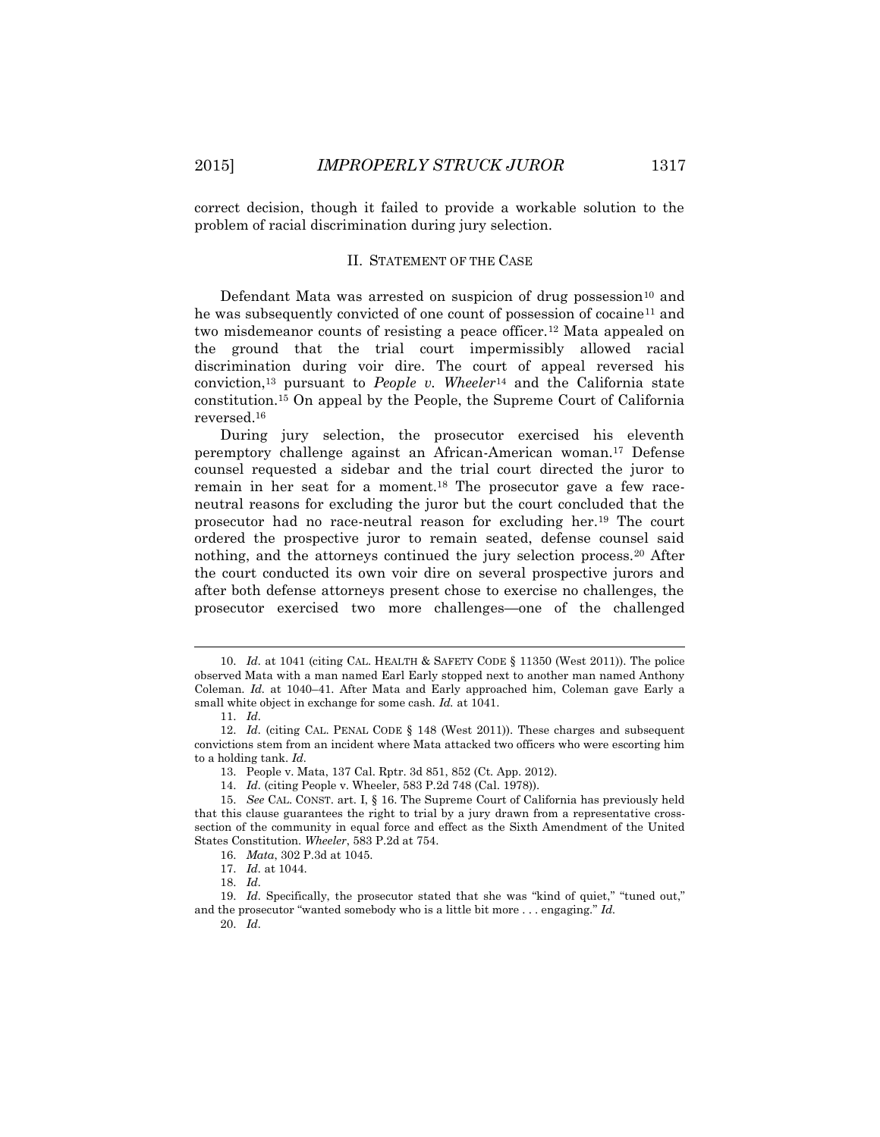correct decision, though it failed to provide a workable solution to the problem of racial discrimination during jury selection.

#### II. STATEMENT OF THE CASE

Defendant Mata was arrested on suspicion of drug possession $10$  and he was subsequently convicted of one count of possession of cocaine<sup>11</sup> and two misdemeanor counts of resisting a peace officer.<sup>12</sup> Mata appealed on the ground that the trial court impermissibly allowed racial discrimination during voir dire. The court of appeal reversed his conviction,<sup>13</sup> pursuant to *People v. Wheeler*<sup>14</sup> and the California state constitution.<sup>15</sup> On appeal by the People, the Supreme Court of California reversed.<sup>16</sup>

During jury selection, the prosecutor exercised his eleventh peremptory challenge against an African-American woman.<sup>17</sup> Defense counsel requested a sidebar and the trial court directed the juror to remain in her seat for a moment.<sup>18</sup> The prosecutor gave a few raceneutral reasons for excluding the juror but the court concluded that the prosecutor had no race-neutral reason for excluding her.<sup>19</sup> The court ordered the prospective juror to remain seated, defense counsel said nothing, and the attorneys continued the jury selection process.<sup>20</sup> After the court conducted its own voir dire on several prospective jurors and after both defense attorneys present chose to exercise no challenges, the prosecutor exercised two more challenges—one of the challenged

 $\overline{\phantom{a}}$ 

20. *Id.*

<sup>10.</sup> *Id.* at 1041 (citing CAL. HEALTH & SAFETY CODE § 11350 (West 2011)). The police observed Mata with a man named Earl Early stopped next to another man named Anthony Coleman. *Id.* at 1040–41. After Mata and Early approached him, Coleman gave Early a small white object in exchange for some cash. *Id.* at 1041.

<sup>11.</sup> *Id.*

<sup>12.</sup> *Id.* (citing CAL. PENAL CODE § 148 (West 2011)). These charges and subsequent convictions stem from an incident where Mata attacked two officers who were escorting him to a holding tank. *Id.*

<sup>13.</sup> People v. Mata, 137 Cal. Rptr. 3d 851, 852 (Ct. App. 2012).

<sup>14.</sup> *Id.* (citing People v. Wheeler, 583 P.2d 748 (Cal. 1978)).

<sup>15.</sup> *See* CAL. CONST. art. I, § 16. The Supreme Court of California has previously held that this clause guarantees the right to trial by a jury drawn from a representative crosssection of the community in equal force and effect as the Sixth Amendment of the United States Constitution. *Wheeler*, 583 P.2d at 754.

<sup>16.</sup> *Mata*, 302 P.3d at 1045.

<sup>17.</sup> *Id.* at 1044.

<sup>18.</sup> *Id.*

<sup>19.</sup> *Id.* Specifically, the prosecutor stated that she was "kind of quiet," "tuned out," and the prosecutor "wanted somebody who is a little bit more . . . engaging." *Id.*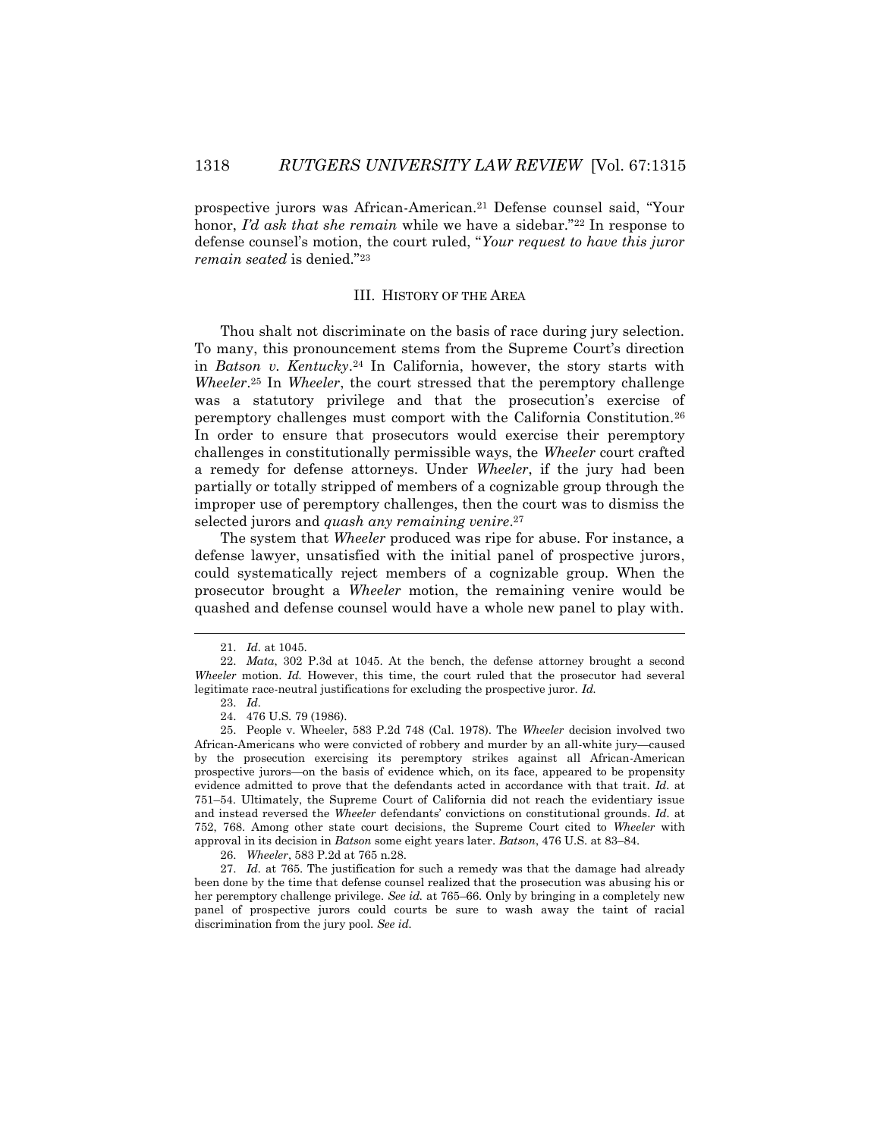prospective jurors was African-American.<sup>21</sup> Defense counsel said, "Your honor, *I'd ask that she remain* while we have a sidebar.<sup>"22</sup> In response to defense counsel's motion, the court ruled, "*Your request to have this juror remain seated* is denied."<sup>23</sup>

#### III. HISTORY OF THE AREA

Thou shalt not discriminate on the basis of race during jury selection. To many, this pronouncement stems from the Supreme Court's direction in *Batson v. Kentucky*. <sup>24</sup> In California, however, the story starts with *Wheeler*. <sup>25</sup> In *Wheeler*, the court stressed that the peremptory challenge was a statutory privilege and that the prosecution's exercise of peremptory challenges must comport with the California Constitution.<sup>26</sup> In order to ensure that prosecutors would exercise their peremptory challenges in constitutionally permissible ways, the *Wheeler* court crafted a remedy for defense attorneys. Under *Wheeler*, if the jury had been partially or totally stripped of members of a cognizable group through the improper use of peremptory challenges, then the court was to dismiss the selected jurors and *quash any remaining venire*. 27

The system that *Wheeler* produced was ripe for abuse. For instance, a defense lawyer, unsatisfied with the initial panel of prospective jurors, could systematically reject members of a cognizable group. When the prosecutor brought a *Wheeler* motion, the remaining venire would be quashed and defense counsel would have a whole new panel to play with.

l

26. *Wheeler*, 583 P.2d at 765 n.28.

27. *Id.* at 765. The justification for such a remedy was that the damage had already been done by the time that defense counsel realized that the prosecution was abusing his or her peremptory challenge privilege. *See id.* at 765–66. Only by bringing in a completely new panel of prospective jurors could courts be sure to wash away the taint of racial discrimination from the jury pool. *See id.*

<sup>21.</sup> *Id.* at 1045.

<sup>22.</sup> *Mata*, 302 P.3d at 1045. At the bench, the defense attorney brought a second *Wheeler* motion. *Id.* However, this time, the court ruled that the prosecutor had several legitimate race-neutral justifications for excluding the prospective juror. *Id.*

<sup>23.</sup> *Id.*

<sup>24.</sup> 476 U.S. 79 (1986).

<sup>25.</sup> People v. Wheeler, 583 P.2d 748 (Cal. 1978). The *Wheeler* decision involved two African-Americans who were convicted of robbery and murder by an all-white jury—caused by the prosecution exercising its peremptory strikes against all African-American prospective jurors—on the basis of evidence which, on its face, appeared to be propensity evidence admitted to prove that the defendants acted in accordance with that trait. *Id.* at 751–54. Ultimately, the Supreme Court of California did not reach the evidentiary issue and instead reversed the *Wheeler* defendants' convictions on constitutional grounds. *Id.* at 752, 768. Among other state court decisions, the Supreme Court cited to *Wheeler* with approval in its decision in *Batson* some eight years later. *Batson*, 476 U.S. at 83–84.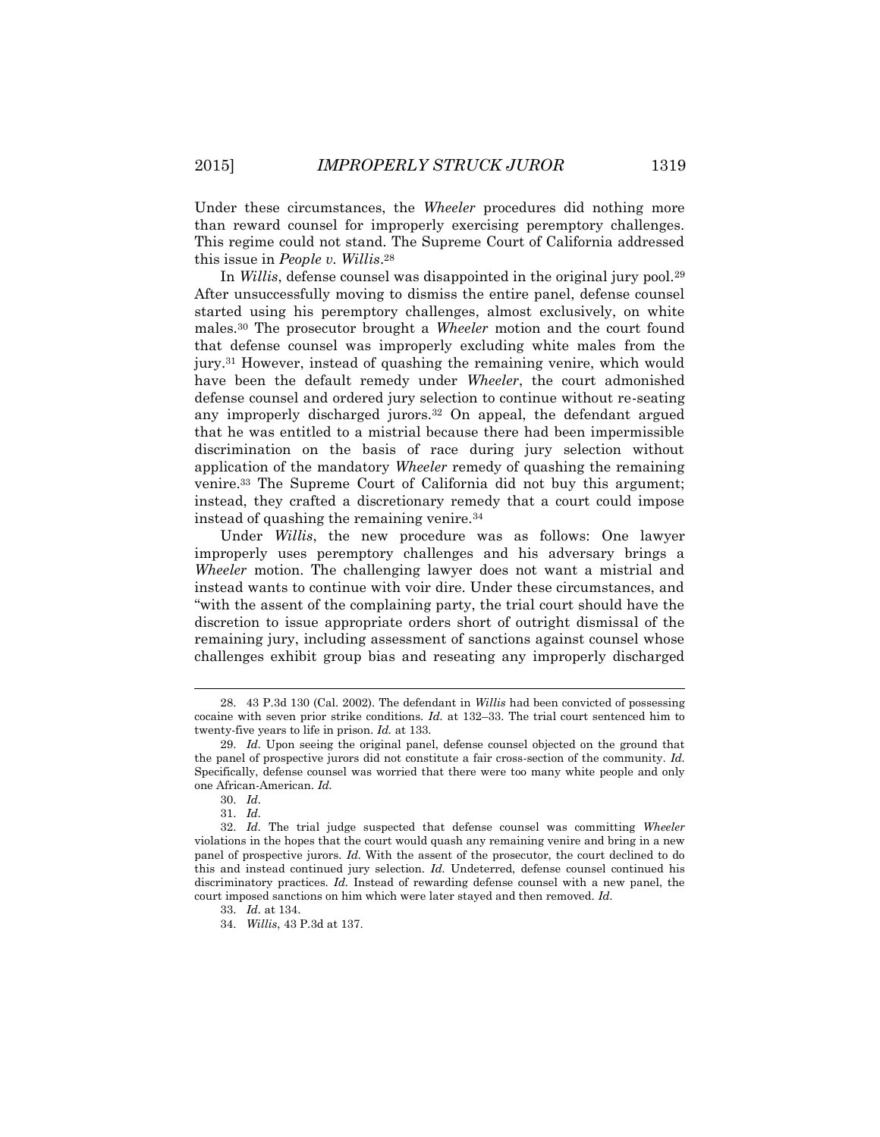Under these circumstances, the *Wheeler* procedures did nothing more than reward counsel for improperly exercising peremptory challenges. This regime could not stand. The Supreme Court of California addressed this issue in *People v. Willis*. 28

In *Willis*, defense counsel was disappointed in the original jury pool.<sup>29</sup> After unsuccessfully moving to dismiss the entire panel, defense counsel started using his peremptory challenges, almost exclusively, on white males.<sup>30</sup> The prosecutor brought a *Wheeler* motion and the court found that defense counsel was improperly excluding white males from the jury.<sup>31</sup> However, instead of quashing the remaining venire, which would have been the default remedy under *Wheeler*, the court admonished defense counsel and ordered jury selection to continue without re-seating any improperly discharged jurors.<sup>32</sup> On appeal, the defendant argued that he was entitled to a mistrial because there had been impermissible discrimination on the basis of race during jury selection without application of the mandatory *Wheeler* remedy of quashing the remaining venire.<sup>33</sup> The Supreme Court of California did not buy this argument; instead, they crafted a discretionary remedy that a court could impose instead of quashing the remaining venire.<sup>34</sup>

Under *Willis*, the new procedure was as follows: One lawyer improperly uses peremptory challenges and his adversary brings a *Wheeler* motion. The challenging lawyer does not want a mistrial and instead wants to continue with voir dire. Under these circumstances, and "with the assent of the complaining party, the trial court should have the discretion to issue appropriate orders short of outright dismissal of the remaining jury, including assessment of sanctions against counsel whose challenges exhibit group bias and reseating any improperly discharged

<sup>28.</sup> 43 P.3d 130 (Cal. 2002). The defendant in *Willis* had been convicted of possessing cocaine with seven prior strike conditions. *Id.* at 132–33. The trial court sentenced him to twenty-five years to life in prison. *Id.* at 133.

<sup>29.</sup> *Id.* Upon seeing the original panel, defense counsel objected on the ground that the panel of prospective jurors did not constitute a fair cross-section of the community. *Id.* Specifically, defense counsel was worried that there were too many white people and only one African-American. *Id.*

<sup>30.</sup> *Id.*

<sup>31.</sup> *Id.*

<sup>32.</sup> *Id.* The trial judge suspected that defense counsel was committing *Wheeler* violations in the hopes that the court would quash any remaining venire and bring in a new panel of prospective jurors. *Id.* With the assent of the prosecutor, the court declined to do this and instead continued jury selection. *Id.* Undeterred, defense counsel continued his discriminatory practices. *Id.* Instead of rewarding defense counsel with a new panel, the court imposed sanctions on him which were later stayed and then removed. *Id.*

<sup>33.</sup> *Id.* at 134.

<sup>34.</sup> *Willis*, 43 P.3d at 137.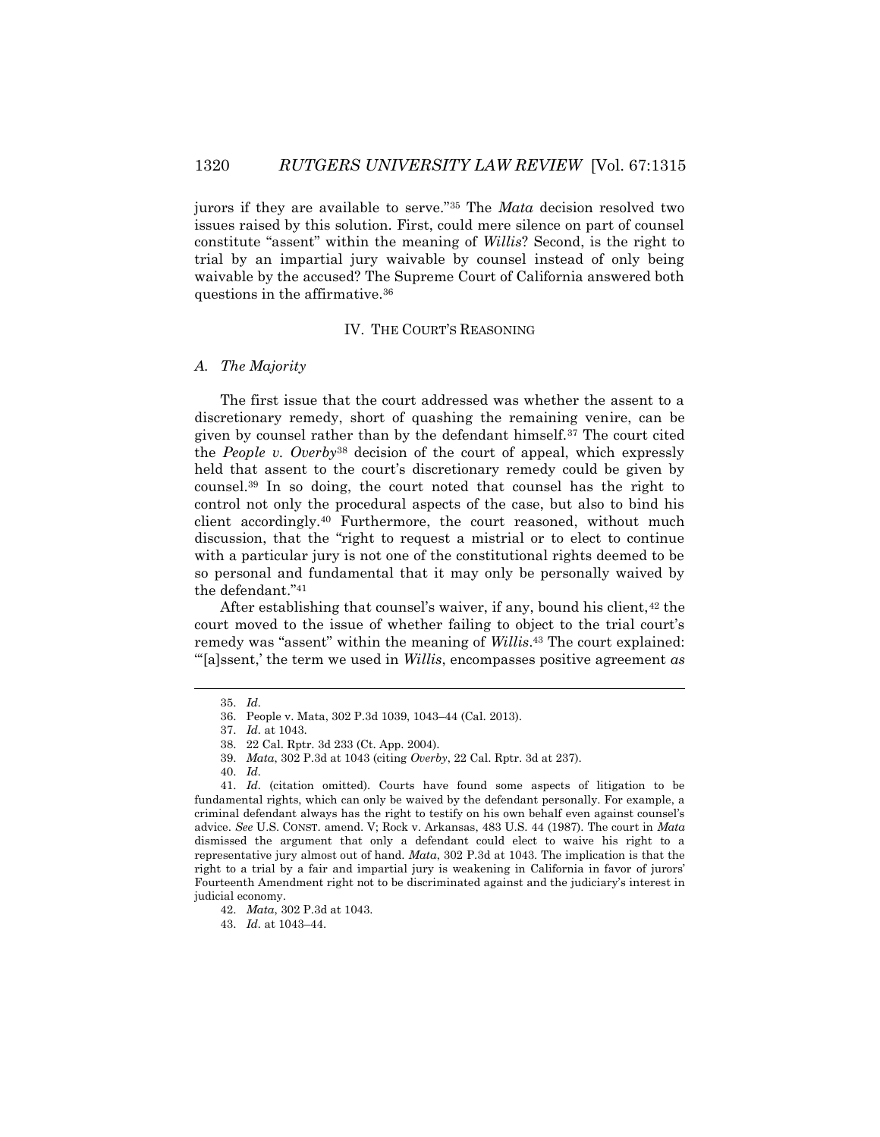jurors if they are available to serve."<sup>35</sup> The *Mata* decision resolved two issues raised by this solution. First, could mere silence on part of counsel constitute "assent" within the meaning of *Willis*? Second, is the right to trial by an impartial jury waivable by counsel instead of only being waivable by the accused? The Supreme Court of California answered both questions in the affirmative.<sup>36</sup>

# IV. THE COURT'S REASONING

#### *A. The Majority*

The first issue that the court addressed was whether the assent to a discretionary remedy, short of quashing the remaining venire, can be given by counsel rather than by the defendant himself.<sup>37</sup> The court cited the *People v. Overby*<sup>38</sup> decision of the court of appeal, which expressly held that assent to the court's discretionary remedy could be given by counsel.<sup>39</sup> In so doing, the court noted that counsel has the right to control not only the procedural aspects of the case, but also to bind his client accordingly.<sup>40</sup> Furthermore, the court reasoned, without much discussion, that the "right to request a mistrial or to elect to continue with a particular jury is not one of the constitutional rights deemed to be so personal and fundamental that it may only be personally waived by the defendant."<sup>41</sup>

After establishing that counsel's waiver, if any, bound his client, <sup>42</sup> the court moved to the issue of whether failing to object to the trial court's remedy was "assent" within the meaning of *Willis*. <sup>43</sup> The court explained: "'[a]ssent,' the term we used in *Willis*, encompasses positive agreement *as* 

 $\overline{\phantom{a}}$ 

43. *Id.* at 1043–44.

<sup>35.</sup> *Id.*

<sup>36.</sup> People v. Mata, 302 P.3d 1039, 1043–44 (Cal. 2013).

<sup>37.</sup> *Id.* at 1043.

<sup>38.</sup> 22 Cal. Rptr. 3d 233 (Ct. App. 2004).

<sup>39.</sup> *Mata*, 302 P.3d at 1043 (citing *Overby*, 22 Cal. Rptr. 3d at 237).

<sup>40.</sup> *Id.*

<sup>41.</sup> *Id.* (citation omitted). Courts have found some aspects of litigation to be fundamental rights, which can only be waived by the defendant personally. For example, a criminal defendant always has the right to testify on his own behalf even against counsel's advice. *See* U.S. CONST. amend. V; Rock v. Arkansas, 483 U.S. 44 (1987). The court in *Mata* dismissed the argument that only a defendant could elect to waive his right to a representative jury almost out of hand. *Mata*, 302 P.3d at 1043. The implication is that the right to a trial by a fair and impartial jury is weakening in California in favor of jurors' Fourteenth Amendment right not to be discriminated against and the judiciary's interest in judicial economy.

<sup>42.</sup> *Mata*, 302 P.3d at 1043.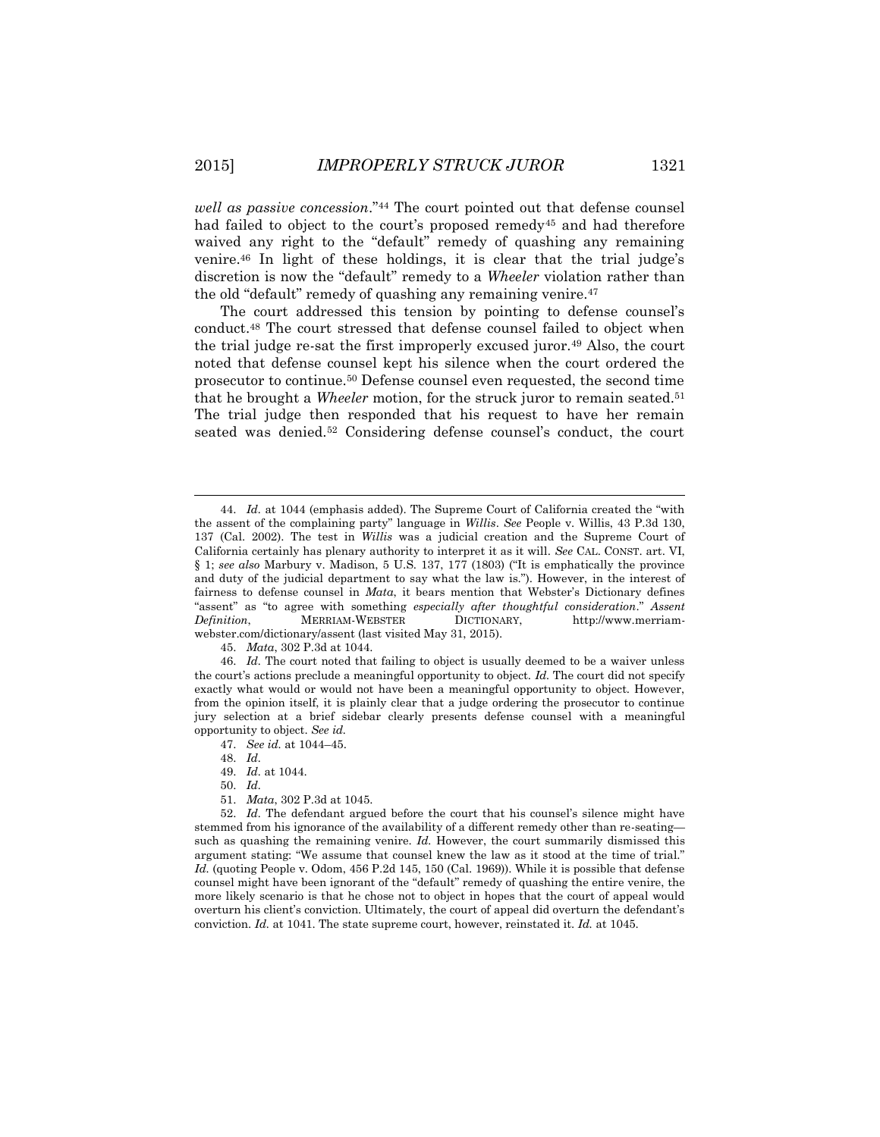*well as passive concession*."<sup>44</sup> The court pointed out that defense counsel had failed to object to the court's proposed remedy<sup>45</sup> and had therefore waived any right to the "default" remedy of quashing any remaining venire.<sup>46</sup> In light of these holdings, it is clear that the trial judge's discretion is now the "default" remedy to a *Wheeler* violation rather than the old "default" remedy of quashing any remaining venire.<sup>47</sup>

The court addressed this tension by pointing to defense counsel's conduct.<sup>48</sup> The court stressed that defense counsel failed to object when the trial judge re-sat the first improperly excused juror.<sup>49</sup> Also, the court noted that defense counsel kept his silence when the court ordered the prosecutor to continue.<sup>50</sup> Defense counsel even requested, the second time that he brought a *Wheeler* motion, for the struck juror to remain seated.<sup>51</sup> The trial judge then responded that his request to have her remain seated was denied.<sup>52</sup> Considering defense counsel's conduct, the court

45. *Mata*, 302 P.3d at 1044.

46. *Id.* The court noted that failing to object is usually deemed to be a waiver unless the court's actions preclude a meaningful opportunity to object. *Id.* The court did not specify exactly what would or would not have been a meaningful opportunity to object. However, from the opinion itself, it is plainly clear that a judge ordering the prosecutor to continue jury selection at a brief sidebar clearly presents defense counsel with a meaningful opportunity to object. *See id.*

- 47. *See id.* at 1044–45.
- 48. *Id.*
- 49. *Id.* at 1044.
- 50. *Id.*
- 51. *Mata*, 302 P.3d at 1045.

52. *Id.* The defendant argued before the court that his counsel's silence might have stemmed from his ignorance of the availability of a different remedy other than re-seating such as quashing the remaining venire. *Id.* However, the court summarily dismissed this argument stating: "We assume that counsel knew the law as it stood at the time of trial." *Id.* (quoting People v. Odom, 456 P.2d 145, 150 (Cal. 1969)). While it is possible that defense counsel might have been ignorant of the "default" remedy of quashing the entire venire, the more likely scenario is that he chose not to object in hopes that the court of appeal would overturn his client's conviction. Ultimately, the court of appeal did overturn the defendant's conviction. *Id.* at 1041. The state supreme court, however, reinstated it. *Id.* at 1045.

<sup>44.</sup> *Id.* at 1044 (emphasis added). The Supreme Court of California created the "with the assent of the complaining party" language in *Willis*. *See* People v. Willis, 43 P.3d 130, 137 (Cal. 2002). The test in *Willis* was a judicial creation and the Supreme Court of California certainly has plenary authority to interpret it as it will. *See* CAL. CONST. art. VI, § 1; *see also* Marbury v. Madison, 5 U.S. 137, 177 (1803) ("It is emphatically the province and duty of the judicial department to say what the law is."). However, in the interest of fairness to defense counsel in *Mata*, it bears mention that Webster's Dictionary defines "assent" as "to agree with something *especially after thoughtful consideration*." *Assent Definition*, MERRIAM-WEBSTER DICTIONARY, http://www.merriamwebster.com/dictionary/assent (last visited May 31, 2015).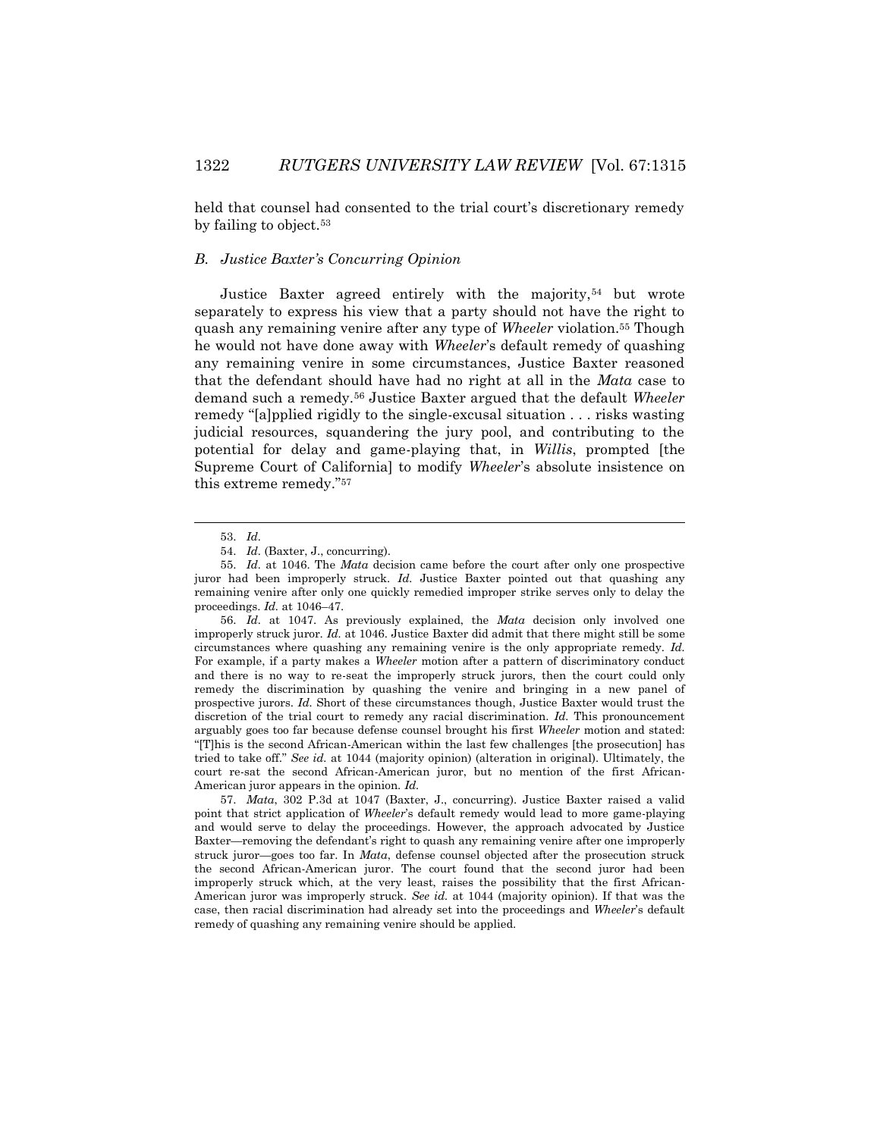held that counsel had consented to the trial court's discretionary remedy by failing to object.<sup>53</sup>

# *B. Justice Baxter's Concurring Opinion*

Justice Baxter agreed entirely with the majority,<sup>54</sup> but wrote separately to express his view that a party should not have the right to quash any remaining venire after any type of *Wheeler* violation.<sup>55</sup> Though he would not have done away with *Wheeler*'s default remedy of quashing any remaining venire in some circumstances, Justice Baxter reasoned that the defendant should have had no right at all in the *Mata* case to demand such a remedy.<sup>56</sup> Justice Baxter argued that the default *Wheeler*  remedy "[a]pplied rigidly to the single-excusal situation . . . risks wasting judicial resources, squandering the jury pool, and contributing to the potential for delay and game-playing that, in *Willis*, prompted [the Supreme Court of California] to modify *Wheeler*'s absolute insistence on this extreme remedy."<sup>57</sup>

<sup>53.</sup> *Id.*

<sup>54.</sup> *Id.* (Baxter, J., concurring).

<sup>55.</sup> *Id.* at 1046. The *Mata* decision came before the court after only one prospective juror had been improperly struck. *Id.* Justice Baxter pointed out that quashing any remaining venire after only one quickly remedied improper strike serves only to delay the proceedings. *Id.* at 1046–47.

<sup>56.</sup> *Id.* at 1047. As previously explained, the *Mata* decision only involved one improperly struck juror. *Id.* at 1046. Justice Baxter did admit that there might still be some circumstances where quashing any remaining venire is the only appropriate remedy. *Id.* For example, if a party makes a *Wheeler* motion after a pattern of discriminatory conduct and there is no way to re-seat the improperly struck jurors, then the court could only remedy the discrimination by quashing the venire and bringing in a new panel of prospective jurors. *Id.* Short of these circumstances though, Justice Baxter would trust the discretion of the trial court to remedy any racial discrimination. *Id.* This pronouncement arguably goes too far because defense counsel brought his first *Wheeler* motion and stated: "[T]his is the second African-American within the last few challenges [the prosecution] has tried to take off." *See id.* at 1044 (majority opinion) (alteration in original). Ultimately, the court re-sat the second African-American juror, but no mention of the first African-American juror appears in the opinion. *Id.*

<sup>57.</sup> *Mata*, 302 P.3d at 1047 (Baxter, J., concurring). Justice Baxter raised a valid point that strict application of *Wheeler*'s default remedy would lead to more game-playing and would serve to delay the proceedings. However, the approach advocated by Justice Baxter—removing the defendant's right to quash any remaining venire after one improperly struck juror—goes too far. In *Mata*, defense counsel objected after the prosecution struck the second African-American juror. The court found that the second juror had been improperly struck which, at the very least, raises the possibility that the first African-American juror was improperly struck. *See id.* at 1044 (majority opinion). If that was the case, then racial discrimination had already set into the proceedings and *Wheeler*'s default remedy of quashing any remaining venire should be applied.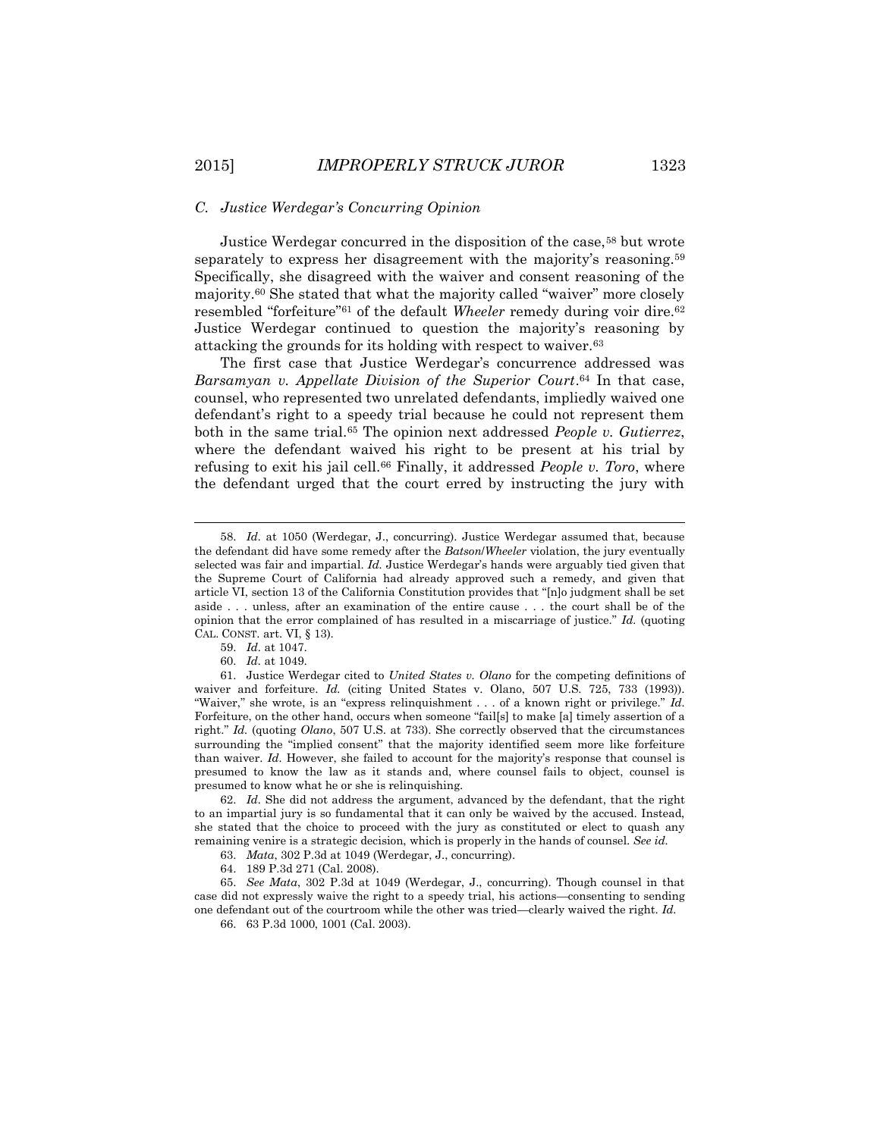#### *C. Justice Werdegar's Concurring Opinion*

Justice Werdegar concurred in the disposition of the case,<sup>58</sup> but wrote separately to express her disagreement with the majority's reasoning.<sup>59</sup> Specifically, she disagreed with the waiver and consent reasoning of the majority.<sup>60</sup> She stated that what the majority called "waiver" more closely resembled "forfeiture"<sup>61</sup> of the default *Wheeler* remedy during voir dire.<sup>62</sup> Justice Werdegar continued to question the majority's reasoning by attacking the grounds for its holding with respect to waiver.<sup>63</sup>

The first case that Justice Werdegar's concurrence addressed was *Barsamyan v. Appellate Division of the Superior Court*. <sup>64</sup> In that case, counsel, who represented two unrelated defendants, impliedly waived one defendant's right to a speedy trial because he could not represent them both in the same trial.<sup>65</sup> The opinion next addressed *People v. Gutierrez*, where the defendant waived his right to be present at his trial by refusing to exit his jail cell.<sup>66</sup> Finally, it addressed *People v. Toro*, where the defendant urged that the court erred by instructing the jury with

 $\overline{a}$ 

<sup>58.</sup> *Id.* at 1050 (Werdegar, J., concurring). Justice Werdegar assumed that, because the defendant did have some remedy after the *Batson*/*Wheeler* violation, the jury eventually selected was fair and impartial. *Id.* Justice Werdegar's hands were arguably tied given that the Supreme Court of California had already approved such a remedy, and given that article VI, section 13 of the California Constitution provides that "[n]o judgment shall be set aside . . . unless, after an examination of the entire cause . . . the court shall be of the opinion that the error complained of has resulted in a miscarriage of justice." *Id.* (quoting CAL. CONST. art. VI, § 13).

<sup>59.</sup> *Id.* at 1047.

<sup>60.</sup> *Id.* at 1049.

<sup>61.</sup> Justice Werdegar cited to *United States v. Olano* for the competing definitions of waiver and forfeiture. *Id.* (citing United States v. Olano, 507 U.S. 725, 733 (1993)). "Waiver," she wrote, is an "express relinquishment . . . of a known right or privilege." *Id.* Forfeiture, on the other hand, occurs when someone "fail[s] to make [a] timely assertion of a right." *Id.* (quoting *Olano*, 507 U.S. at 733). She correctly observed that the circumstances surrounding the "implied consent" that the majority identified seem more like forfeiture than waiver. *Id.* However, she failed to account for the majority's response that counsel is presumed to know the law as it stands and, where counsel fails to object, counsel is presumed to know what he or she is relinquishing.

<sup>62.</sup> *Id.* She did not address the argument, advanced by the defendant, that the right to an impartial jury is so fundamental that it can only be waived by the accused. Instead, she stated that the choice to proceed with the jury as constituted or elect to quash any remaining venire is a strategic decision, which is properly in the hands of counsel. *See id.*

<sup>63.</sup> *Mata*, 302 P.3d at 1049 (Werdegar, J., concurring).

<sup>64.</sup> 189 P.3d 271 (Cal. 2008).

<sup>65.</sup> *See Mata*, 302 P.3d at 1049 (Werdegar, J., concurring). Though counsel in that case did not expressly waive the right to a speedy trial, his actions—consenting to sending one defendant out of the courtroom while the other was tried—clearly waived the right. *Id.*

<sup>66.</sup> 63 P.3d 1000, 1001 (Cal. 2003).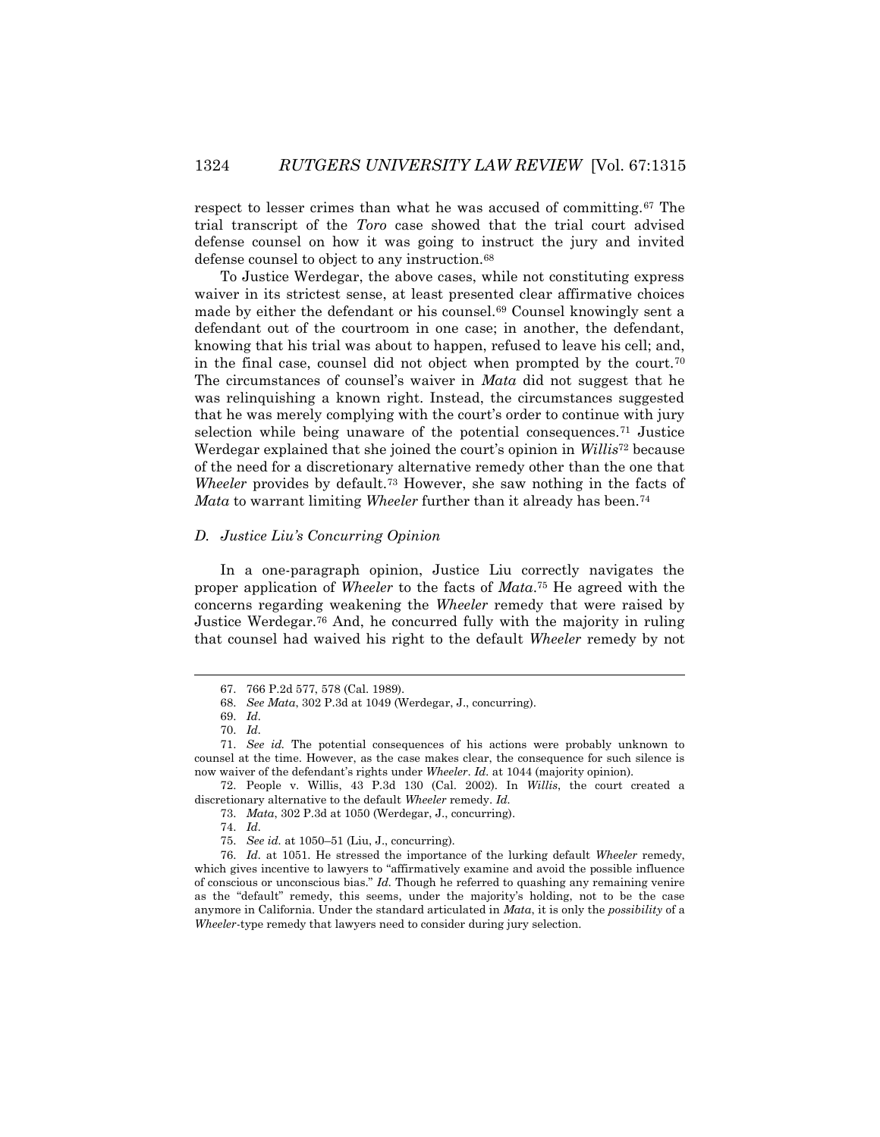respect to lesser crimes than what he was accused of committing.<sup>67</sup> The trial transcript of the *Toro* case showed that the trial court advised defense counsel on how it was going to instruct the jury and invited defense counsel to object to any instruction.<sup>68</sup>

To Justice Werdegar, the above cases, while not constituting express waiver in its strictest sense, at least presented clear affirmative choices made by either the defendant or his counsel.<sup>69</sup> Counsel knowingly sent a defendant out of the courtroom in one case; in another, the defendant, knowing that his trial was about to happen, refused to leave his cell; and, in the final case, counsel did not object when prompted by the court.<sup>70</sup> The circumstances of counsel's waiver in *Mata* did not suggest that he was relinquishing a known right. Instead, the circumstances suggested that he was merely complying with the court's order to continue with jury selection while being unaware of the potential consequences.<sup>71</sup> Justice Werdegar explained that she joined the court's opinion in *Willis*<sup>72</sup> because of the need for a discretionary alternative remedy other than the one that *Wheeler* provides by default.<sup>73</sup> However, she saw nothing in the facts of *Mata* to warrant limiting *Wheeler* further than it already has been.<sup>74</sup>

## *D. Justice Liu's Concurring Opinion*

In a one-paragraph opinion, Justice Liu correctly navigates the proper application of *Wheeler* to the facts of *Mata*. <sup>75</sup> He agreed with the concerns regarding weakening the *Wheeler* remedy that were raised by Justice Werdegar.<sup>76</sup> And, he concurred fully with the majority in ruling that counsel had waived his right to the default *Wheeler* remedy by not

 $\overline{a}$ 

74. *Id.*

<sup>67.</sup> 766 P.2d 577, 578 (Cal. 1989).

<sup>68.</sup> *See Mata*, 302 P.3d at 1049 (Werdegar, J., concurring).

<sup>69.</sup> *Id.* 70. *Id.*

<sup>71.</sup> *See id.* The potential consequences of his actions were probably unknown to counsel at the time. However, as the case makes clear, the consequence for such silence is now waiver of the defendant's rights under *Wheeler*. *Id.* at 1044 (majority opinion).

<sup>72.</sup> People v. Willis, 43 P.3d 130 (Cal. 2002). In *Willis*, the court created a discretionary alternative to the default *Wheeler* remedy. *Id.*

<sup>73.</sup> *Mata*, 302 P.3d at 1050 (Werdegar, J., concurring).

<sup>75.</sup> *See id.* at 1050–51 (Liu, J., concurring).

<sup>76.</sup> *Id.* at 1051. He stressed the importance of the lurking default *Wheeler* remedy, which gives incentive to lawyers to "affirmatively examine and avoid the possible influence of conscious or unconscious bias." *Id.* Though he referred to quashing any remaining venire as the "default" remedy, this seems, under the majority's holding, not to be the case anymore in California. Under the standard articulated in *Mata*, it is only the *possibility* of a *Wheeler*-type remedy that lawyers need to consider during jury selection.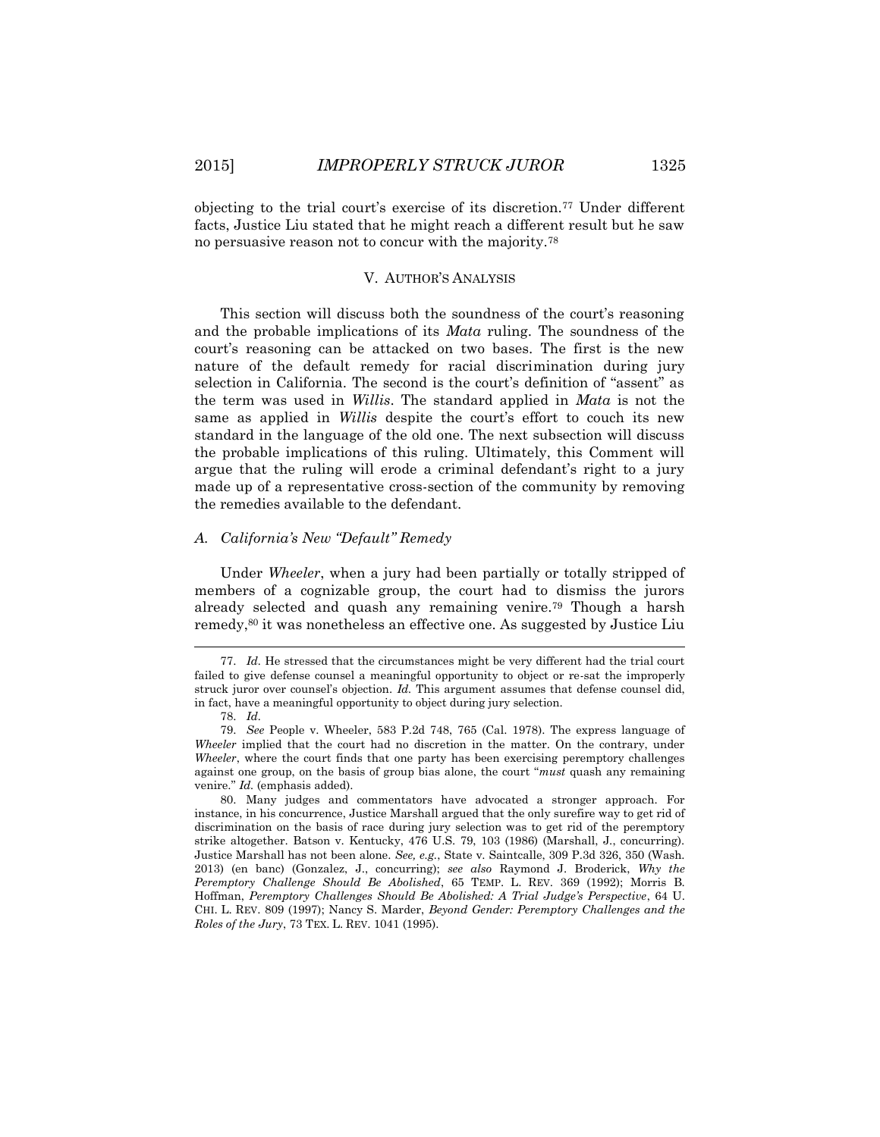objecting to the trial court's exercise of its discretion.<sup>77</sup> Under different facts, Justice Liu stated that he might reach a different result but he saw no persuasive reason not to concur with the majority.<sup>78</sup>

#### V. AUTHOR'S ANALYSIS

This section will discuss both the soundness of the court's reasoning and the probable implications of its *Mata* ruling. The soundness of the court's reasoning can be attacked on two bases. The first is the new nature of the default remedy for racial discrimination during jury selection in California. The second is the court's definition of "assent" as the term was used in *Willis*. The standard applied in *Mata* is not the same as applied in *Willis* despite the court's effort to couch its new standard in the language of the old one. The next subsection will discuss the probable implications of this ruling. Ultimately, this Comment will argue that the ruling will erode a criminal defendant's right to a jury made up of a representative cross-section of the community by removing the remedies available to the defendant.

## *A. California's New "Default" Remedy*

Under *Wheeler*, when a jury had been partially or totally stripped of members of a cognizable group, the court had to dismiss the jurors already selected and quash any remaining venire.<sup>79</sup> Though a harsh remedy,<sup>80</sup> it was nonetheless an effective one. As suggested by Justice Liu

<sup>77.</sup> *Id.* He stressed that the circumstances might be very different had the trial court failed to give defense counsel a meaningful opportunity to object or re-sat the improperly struck juror over counsel's objection. *Id.* This argument assumes that defense counsel did, in fact, have a meaningful opportunity to object during jury selection.

<sup>78.</sup> *Id.*

<sup>79.</sup> *See* People v. Wheeler, 583 P.2d 748, 765 (Cal. 1978). The express language of *Wheeler* implied that the court had no discretion in the matter. On the contrary, under *Wheeler*, where the court finds that one party has been exercising peremptory challenges against one group, on the basis of group bias alone, the court "*must* quash any remaining venire." *Id.* (emphasis added).

<sup>80.</sup> Many judges and commentators have advocated a stronger approach. For instance, in his concurrence, Justice Marshall argued that the only surefire way to get rid of discrimination on the basis of race during jury selection was to get rid of the peremptory strike altogether. Batson v. Kentucky, 476 U.S. 79, 103 (1986) (Marshall, J., concurring). Justice Marshall has not been alone. *See, e.g.*, State v. Saintcalle, 309 P.3d 326, 350 (Wash. 2013) (en banc) (Gonzalez, J., concurring); *see also* Raymond J. Broderick, *Why the Peremptory Challenge Should Be Abolished*, 65 TEMP. L. REV. 369 (1992); Morris B. Hoffman, *Peremptory Challenges Should Be Abolished: A Trial Judge's Perspective*, 64 U. CHI. L. REV. 809 (1997); Nancy S. Marder, *Beyond Gender: Peremptory Challenges and the Roles of the Jury*, 73 TEX. L. REV. 1041 (1995).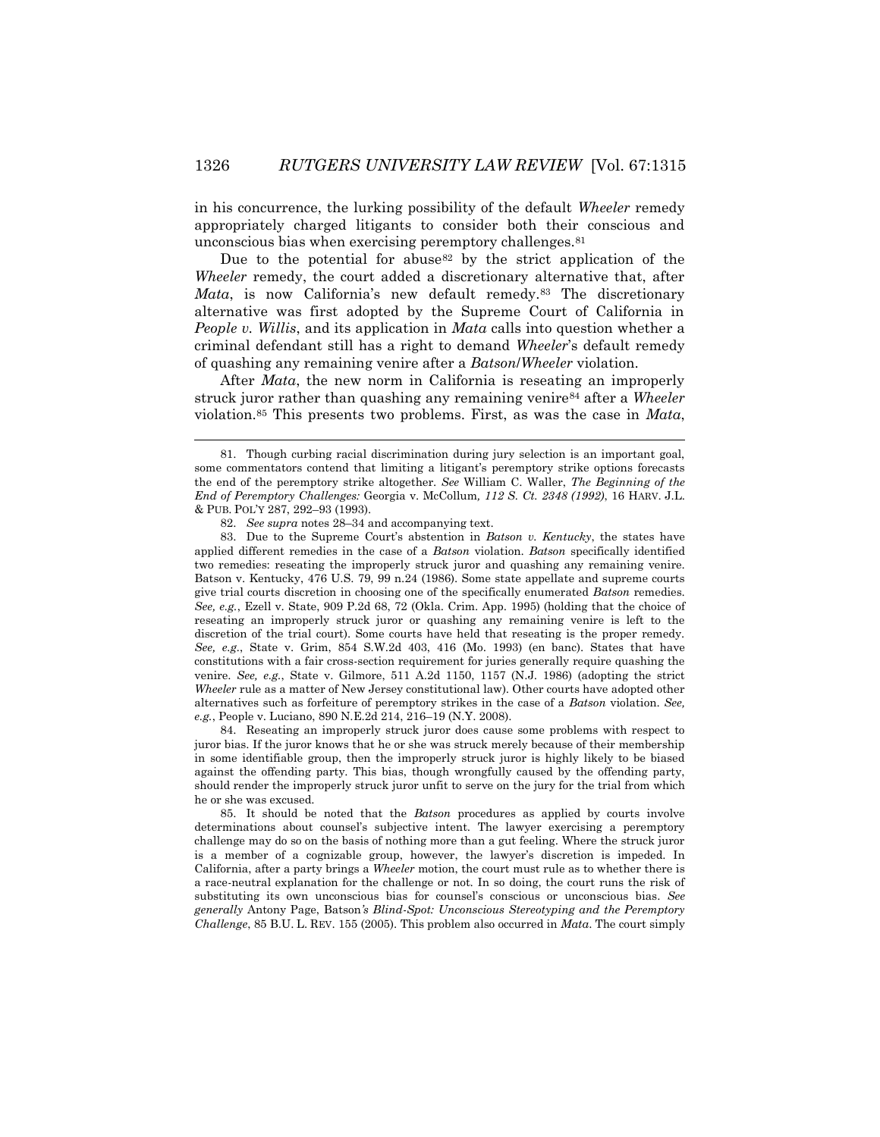in his concurrence, the lurking possibility of the default *Wheeler* remedy appropriately charged litigants to consider both their conscious and unconscious bias when exercising peremptory challenges.<sup>81</sup>

Due to the potential for abuse<sup>82</sup> by the strict application of the *Wheeler* remedy, the court added a discretionary alternative that, after *Mata*, is now California's new default remedy.<sup>83</sup> The discretionary alternative was first adopted by the Supreme Court of California in *People v. Willis*, and its application in *Mata* calls into question whether a criminal defendant still has a right to demand *Wheeler*'s default remedy of quashing any remaining venire after a *Batson*/*Wheeler* violation.

After *Mata*, the new norm in California is reseating an improperly struck juror rather than quashing any remaining venire<sup>84</sup> after a *Wheeler* violation.<sup>85</sup> This presents two problems. First, as was the case in *Mata*,

 $\overline{a}$ 

84. Reseating an improperly struck juror does cause some problems with respect to juror bias. If the juror knows that he or she was struck merely because of their membership in some identifiable group, then the improperly struck juror is highly likely to be biased against the offending party. This bias, though wrongfully caused by the offending party, should render the improperly struck juror unfit to serve on the jury for the trial from which he or she was excused.

85. It should be noted that the *Batson* procedures as applied by courts involve determinations about counsel's subjective intent. The lawyer exercising a peremptory challenge may do so on the basis of nothing more than a gut feeling. Where the struck juror is a member of a cognizable group, however, the lawyer's discretion is impeded. In California, after a party brings a *Wheeler* motion, the court must rule as to whether there is a race-neutral explanation for the challenge or not. In so doing, the court runs the risk of substituting its own unconscious bias for counsel's conscious or unconscious bias. *See generally* Antony Page, Batson*'s Blind-Spot: Unconscious Stereotyping and the Peremptory Challenge*, 85 B.U. L. REV. 155 (2005). This problem also occurred in *Mata*. The court simply

<sup>81.</sup> Though curbing racial discrimination during jury selection is an important goal, some commentators contend that limiting a litigant's peremptory strike options forecasts the end of the peremptory strike altogether. *See* William C. Waller, *The Beginning of the End of Peremptory Challenges:* Georgia v. McCollum*, 112 S. Ct. 2348 (1992)*, 16 HARV. J.L. & PUB. POL'Y 287, 292–93 (1993).

<sup>82.</sup> *See supra* notes 28–34 and accompanying text.

<sup>83.</sup> Due to the Supreme Court's abstention in *Batson v. Kentucky*, the states have applied different remedies in the case of a *Batson* violation. *Batson* specifically identified two remedies: reseating the improperly struck juror and quashing any remaining venire. Batson v. Kentucky, 476 U.S. 79, 99 n.24 (1986). Some state appellate and supreme courts give trial courts discretion in choosing one of the specifically enumerated *Batson* remedies. *See, e.g.*, Ezell v. State, 909 P.2d 68, 72 (Okla. Crim. App. 1995) (holding that the choice of reseating an improperly struck juror or quashing any remaining venire is left to the discretion of the trial court). Some courts have held that reseating is the proper remedy. *See, e.g.*, State v. Grim, 854 S.W.2d 403, 416 (Mo. 1993) (en banc). States that have constitutions with a fair cross-section requirement for juries generally require quashing the venire. *See, e.g.*, State v. Gilmore, 511 A.2d 1150, 1157 (N.J. 1986) (adopting the strict *Wheeler* rule as a matter of New Jersey constitutional law). Other courts have adopted other alternatives such as forfeiture of peremptory strikes in the case of a *Batson* violation. *See, e.g.*, People v. Luciano, 890 N.E.2d 214, 216–19 (N.Y. 2008).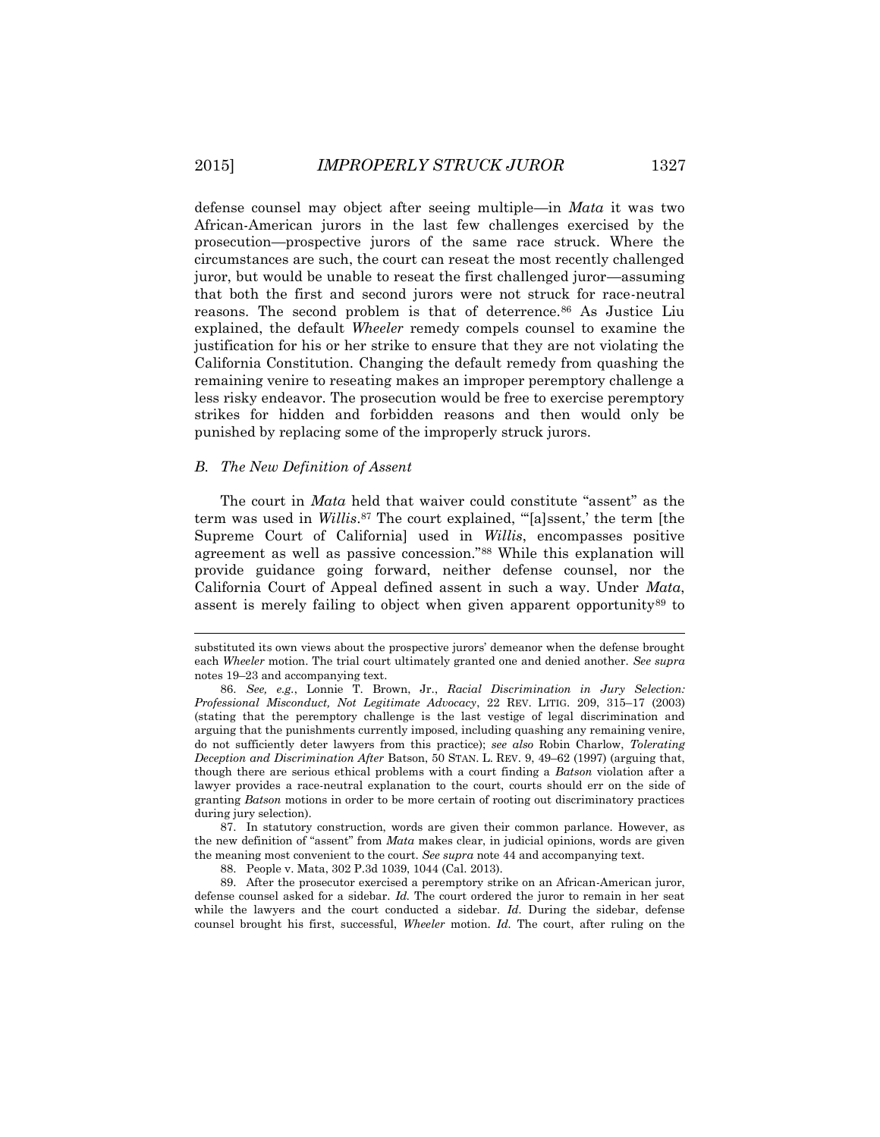defense counsel may object after seeing multiple—in *Mata* it was two African-American jurors in the last few challenges exercised by the prosecution—prospective jurors of the same race struck. Where the circumstances are such, the court can reseat the most recently challenged juror, but would be unable to reseat the first challenged juror—assuming that both the first and second jurors were not struck for race-neutral reasons. The second problem is that of deterrence.<sup>86</sup> As Justice Liu explained, the default *Wheeler* remedy compels counsel to examine the justification for his or her strike to ensure that they are not violating the California Constitution. Changing the default remedy from quashing the remaining venire to reseating makes an improper peremptory challenge a less risky endeavor. The prosecution would be free to exercise peremptory strikes for hidden and forbidden reasons and then would only be punished by replacing some of the improperly struck jurors.

### *B. The New Definition of Assent*

l

The court in *Mata* held that waiver could constitute "assent" as the term was used in *Willis*. <sup>87</sup> The court explained, "'[a]ssent,' the term [the Supreme Court of California] used in *Willis*, encompasses positive agreement as well as passive concession."<sup>88</sup> While this explanation will provide guidance going forward, neither defense counsel, nor the California Court of Appeal defined assent in such a way. Under *Mata*, assent is merely failing to object when given apparent opportunity<sup>89</sup> to

87. In statutory construction, words are given their common parlance. However, as the new definition of "assent" from *Mata* makes clear, in judicial opinions, words are given the meaning most convenient to the court. *See supra* note 44 and accompanying text.

89. After the prosecutor exercised a peremptory strike on an African-American juror, defense counsel asked for a sidebar. *Id.* The court ordered the juror to remain in her seat while the lawyers and the court conducted a sidebar. *Id.* During the sidebar, defense counsel brought his first, successful, *Wheeler* motion. *Id.* The court, after ruling on the

substituted its own views about the prospective jurors' demeanor when the defense brought each *Wheeler* motion. The trial court ultimately granted one and denied another. *See supra* notes 19–23 and accompanying text.

<sup>86.</sup> *See, e.g.*, Lonnie T. Brown, Jr., *Racial Discrimination in Jury Selection: Professional Misconduct, Not Legitimate Advocacy*, 22 REV. LITIG. 209, 315–17 (2003) (stating that the peremptory challenge is the last vestige of legal discrimination and arguing that the punishments currently imposed, including quashing any remaining venire, do not sufficiently deter lawyers from this practice); *see also* Robin Charlow, *Tolerating Deception and Discrimination After* Batson, 50 STAN. L. REV. 9, 49–62 (1997) (arguing that, though there are serious ethical problems with a court finding a *Batson* violation after a lawyer provides a race-neutral explanation to the court, courts should err on the side of granting *Batson* motions in order to be more certain of rooting out discriminatory practices during jury selection).

<sup>88.</sup> People v. Mata, 302 P.3d 1039, 1044 (Cal. 2013).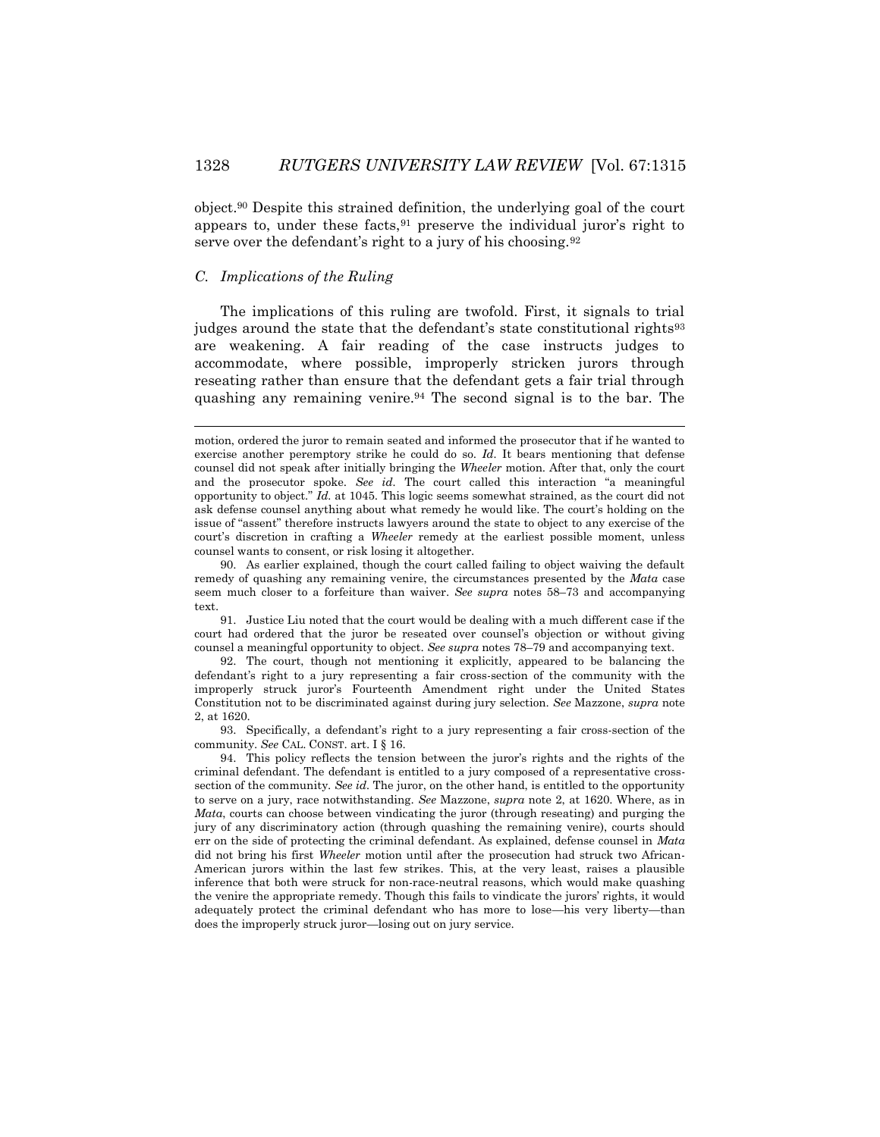object.<sup>90</sup> Despite this strained definition, the underlying goal of the court appears to, under these facts,  $91$  preserve the individual juror's right to serve over the defendant's right to a jury of his choosing.<sup>92</sup>

# *C. Implications of the Ruling*

 $\overline{a}$ 

The implications of this ruling are twofold. First, it signals to trial judges around the state that the defendant's state constitutional rights<sup>93</sup> are weakening. A fair reading of the case instructs judges to accommodate, where possible, improperly stricken jurors through reseating rather than ensure that the defendant gets a fair trial through quashing any remaining venire.<sup>94</sup> The second signal is to the bar. The

91. Justice Liu noted that the court would be dealing with a much different case if the court had ordered that the juror be reseated over counsel's objection or without giving counsel a meaningful opportunity to object. *See supra* notes 78–79 and accompanying text.

92. The court, though not mentioning it explicitly, appeared to be balancing the defendant's right to a jury representing a fair cross-section of the community with the improperly struck juror's Fourteenth Amendment right under the United States Constitution not to be discriminated against during jury selection. *See* Mazzone, *supra* note 2, at 1620.

93. Specifically, a defendant's right to a jury representing a fair cross-section of the community. *See* CAL. CONST. art. I § 16.

94. This policy reflects the tension between the juror's rights and the rights of the criminal defendant. The defendant is entitled to a jury composed of a representative crosssection of the community. *See id.* The juror, on the other hand, is entitled to the opportunity to serve on a jury, race notwithstanding. *See* Mazzone, *supra* note 2, at 1620. Where, as in *Mata*, courts can choose between vindicating the juror (through reseating) and purging the jury of any discriminatory action (through quashing the remaining venire), courts should err on the side of protecting the criminal defendant. As explained, defense counsel in *Mata* did not bring his first *Wheeler* motion until after the prosecution had struck two African-American jurors within the last few strikes. This, at the very least, raises a plausible inference that both were struck for non-race-neutral reasons, which would make quashing the venire the appropriate remedy. Though this fails to vindicate the jurors' rights, it would adequately protect the criminal defendant who has more to lose—his very liberty—than does the improperly struck juror—losing out on jury service.

motion, ordered the juror to remain seated and informed the prosecutor that if he wanted to exercise another peremptory strike he could do so. *Id.* It bears mentioning that defense counsel did not speak after initially bringing the *Wheeler* motion. After that, only the court and the prosecutor spoke. *See id.* The court called this interaction "a meaningful opportunity to object." *Id.* at 1045. This logic seems somewhat strained, as the court did not ask defense counsel anything about what remedy he would like. The court's holding on the issue of "assent" therefore instructs lawyers around the state to object to any exercise of the court's discretion in crafting a *Wheeler* remedy at the earliest possible moment, unless counsel wants to consent, or risk losing it altogether.

<sup>90.</sup> As earlier explained, though the court called failing to object waiving the default remedy of quashing any remaining venire, the circumstances presented by the *Mata* case seem much closer to a forfeiture than waiver. *See supra* notes 58–73 and accompanying text.